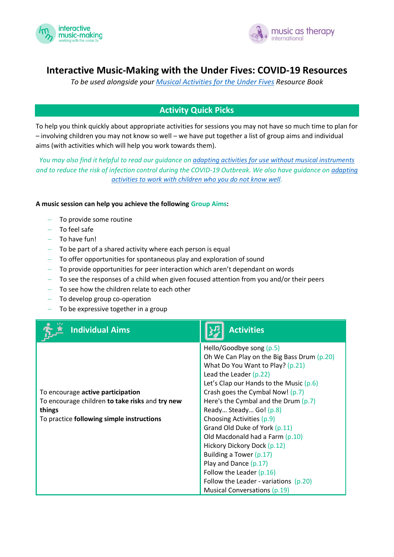



# **Interactive Music-Making with the Under Fives: COVID-19 Resources**

*To be used alongside your [Musical Activities for the Under Fives](http://drive.tresorit.com:7235/Tresors_L1cdrYvw/Main%20Shared/United%20Kingdom%20(all%20projects)/Interactive%20Music-Making%20Learning%20Programme/IMM%20Course%20Materials%20(Current)/Student%20Materials/Student%20Materials%20(checked)%202019/IMM%20Musical%20Activities%20Resource%20Pack%202019.pdf) Resource Book*

# **Activity Quick Picks**

To help you think quickly about appropriate activities for sessions you may not have so much time to plan for – involving children you may not know so well – we have put together a list of group aims and individual aims (with activities which will help you work towards them).

*You may also find it helpful to read our guidance on [adapting activities for use without musical instruments](https://mcusercontent.com/c0685e7bf47d73a43f84f4afc/files/da2537a9-02f0-462f-beab-fa8773ce3737/FINAL_Adapting_IMM_activities_for_use_without_instruments_and_props.pdf) and to reduce the risk of infection control during the COVID-19 Outbreak. We also have guidance o[n adapting](https://mcusercontent.com/c0685e7bf47d73a43f84f4afc/files/dbc7a061-4791-4be4-aa4a-0c3225538f20/FINAL_Using_musical_activities_with_new_children_you_dont_know_very_well.pdf)  [activities to work with children who you do not know well.](https://mcusercontent.com/c0685e7bf47d73a43f84f4afc/files/dbc7a061-4791-4be4-aa4a-0c3225538f20/FINAL_Using_musical_activities_with_new_children_you_dont_know_very_well.pdf)*

### **A music session can help you achieve the following Group Aims:**

- To provide some routine
- − To feel safe
- − To have fun!
- − To be part of a shared activity where each person is equal
- − To offer opportunities for spontaneous play and exploration of sound
- − To provide opportunities for peer interaction which aren't dependant on words
- − To see the responses of a child when given focused attention from you and/or their peers
- − To see how the children relate to each other
- − To develop group co-operation
- − To be expressive together in a group

| <b>Individual Aims</b>                                                                                                                             | <b>Activities</b>                                                                                                                                                                                                                                                                                                                                                                                                                                                                                                                                                                        |
|----------------------------------------------------------------------------------------------------------------------------------------------------|------------------------------------------------------------------------------------------------------------------------------------------------------------------------------------------------------------------------------------------------------------------------------------------------------------------------------------------------------------------------------------------------------------------------------------------------------------------------------------------------------------------------------------------------------------------------------------------|
| To encourage <b>active participation</b><br>To encourage children to take risks and try new<br>things<br>To practice following simple instructions | Hello/Goodbye song (p.5)<br>Oh We Can Play on the Big Bass Drum (p.20)<br>What Do You Want to Play? (p.21)<br>Lead the Leader $(p.22)$<br>Let's Clap our Hands to the Music $(p.6)$<br>Crash goes the Cymbal Now! (p.7)<br>Here's the Cymbal and the Drum $(p.7)$<br>Ready Steady Go! (p.8)<br>Choosing Activities (p.9)<br>Grand Old Duke of York (p.11)<br>Old Macdonald had a Farm (p.10)<br>Hickory Dickory Dock (p.12)<br>Building a Tower (p.17)<br>Play and Dance $(p.17)$<br>Follow the Leader (p.16)<br>Follow the Leader - variations $(p.20)$<br>Musical Conversations (p.19) |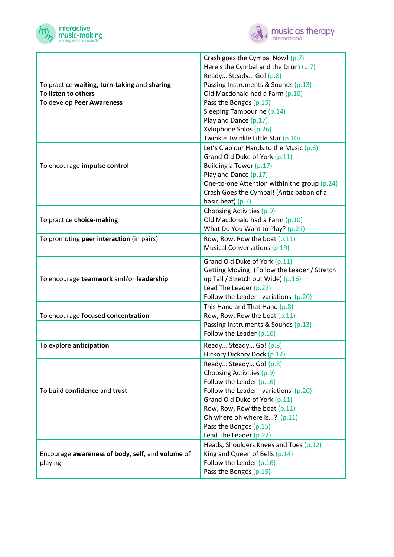



|                                                  | Crash goes the Cymbal Now! (p.7)                     |
|--------------------------------------------------|------------------------------------------------------|
|                                                  | Here's the Cymbal and the Drum (p.7)                 |
|                                                  | Ready Steady Go! (p.8)                               |
| To practice waiting, turn-taking and sharing     | Passing Instruments & Sounds (p.13)                  |
| To listen to others                              | Old Macdonald had a Farm (p.10)                      |
| To develop Peer Awareness                        | Pass the Bongos (p.15)                               |
|                                                  | Sleeping Tambourine (p.14)                           |
|                                                  | Play and Dance (p.17)                                |
|                                                  | Xylophone Solos (p.26)                               |
|                                                  | Twinkle Twinkle Little Star (p.10)                   |
|                                                  | Let's Clap our Hands to the Music $(p.6)$            |
|                                                  | Grand Old Duke of York (p.11)                        |
| To encourage impulse control                     | Building a Tower (p.17)                              |
|                                                  | Play and Dance (p.17)                                |
|                                                  | One-to-one Attention within the group (p.24)         |
|                                                  | Crash Goes the Cymbal! (Anticipation of a            |
|                                                  | basic beat) (p.7)                                    |
|                                                  | Choosing Activities (p.9)                            |
| To practice choice-making                        | Old Macdonald had a Farm (p.10)                      |
|                                                  | What Do You Want to Play? (p.21)                     |
| To promoting peer interaction (in pairs)         | Row, Row, Row the boat (p.11)                        |
|                                                  | <b>Musical Conversations (p.19)</b>                  |
|                                                  |                                                      |
|                                                  | Grand Old Duke of York (p.11)                        |
|                                                  | Getting Moving! (Follow the Leader / Stretch         |
| To encourage teamwork and/or leadership          | up Tall / Stretch out Wide) (p.16)                   |
|                                                  | Lead The Leader (p.22)                               |
|                                                  | Follow the Leader - variations (p.20)                |
|                                                  | This Hand and That Hand (p.8)                        |
| To encourage focused concentration               | Row, Row, Row the boat (p.11)                        |
|                                                  | Passing Instruments & Sounds (p.13)                  |
|                                                  | Follow the Leader (p.16)                             |
| To explore anticipation                          | Ready Steady Go! (p.8)                               |
|                                                  | Hickory Dickory Dock (p.12)                          |
|                                                  | Ready Steady Go! (p.8)                               |
|                                                  | Choosing Activities (p.9)                            |
|                                                  | Follow the Leader (p.16)                             |
| To build confidence and trust                    | Follow the Leader - variations (p.20)                |
|                                                  | Grand Old Duke of York (p.11)                        |
|                                                  | Row, Row, Row the boat (p.11)                        |
|                                                  | Oh where oh where is? (p.11)                         |
|                                                  |                                                      |
|                                                  | Pass the Bongos (p.15)                               |
|                                                  | Lead The Leader (p.22)                               |
|                                                  | Heads, Shoulders Knees and Toes (p.12)               |
| Encourage awareness of body, self, and volume of | King and Queen of Bells (p.14)                       |
| playing                                          | Follow the Leader $(p.16)$<br>Pass the Bongos (p.15) |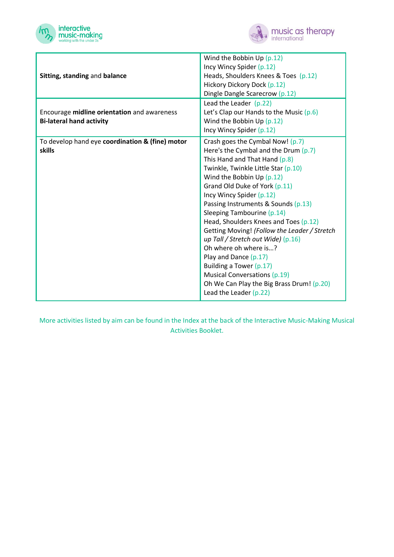



| Sitting, standing and balance                                                  | Wind the Bobbin $Up(p.12)$<br>Incy Wincy Spider (p.12)<br>Heads, Shoulders Knees & Toes (p.12)<br>Hickory Dickory Dock (p.12)<br>Dingle Dangle Scarecrow (p.12)                                                                                                                                                                                                                                                                                                                                                                                                                                                                                  |
|--------------------------------------------------------------------------------|--------------------------------------------------------------------------------------------------------------------------------------------------------------------------------------------------------------------------------------------------------------------------------------------------------------------------------------------------------------------------------------------------------------------------------------------------------------------------------------------------------------------------------------------------------------------------------------------------------------------------------------------------|
| Encourage midline orientation and awareness<br><b>Bi-lateral hand activity</b> | Lead the Leader $(p.22)$<br>Let's Clap our Hands to the Music $(p.6)$<br>Wind the Bobbin $Up(p.12)$<br>Incy Wincy Spider (p.12)                                                                                                                                                                                                                                                                                                                                                                                                                                                                                                                  |
| To develop hand eye coordination & (fine) motor<br><b>skills</b>               | Crash goes the Cymbal Now! (p.7)<br>Here's the Cymbal and the Drum $(p.7)$<br>This Hand and That Hand (p.8)<br>Twinkle, Twinkle Little Star (p.10)<br>Wind the Bobbin $Up(p.12)$<br>Grand Old Duke of York (p.11)<br>Incy Wincy Spider (p.12)<br>Passing Instruments & Sounds (p.13)<br>Sleeping Tambourine (p.14)<br>Head, Shoulders Knees and Toes (p.12)<br>Getting Moving! (Follow the Leader / Stretch<br>up Tall / Stretch out Wide) $(p.16)$<br>Oh where oh where is?<br>Play and Dance (p.17)<br>Building a Tower (p.17)<br><b>Musical Conversations (p.19)</b><br>Oh We Can Play the Big Brass Drum! (p.20)<br>Lead the Leader $(p.22)$ |

More activities listed by aim can be found in the Index at the back of the Interactive Music-Making Musical Activities Booklet.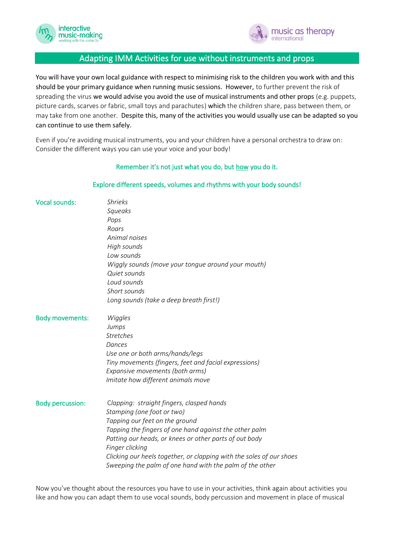



# Adapting IMM Activities for use without instruments and props

You will have your own local guidance with respect to minimising risk to the children you work with and this should be your primary guidance when running music sessions. However, to further prevent the risk of spreading the virus we would advise you avoid the use of musical instruments and other props (e.g. puppets, picture cards, scarves or fabric, small toys and parachutes) which the children share, pass between them, or may take from one another. Despite this, many of the activities you would usually use can be adapted so you can continue to use them safely.

Even if you're avoiding musical instruments, you and your children have a personal orchestra to draw on: Consider the different ways you can use your voice and your body!

#### Remember it's not just what you do, but how you do it.

#### Explore different speeds, volumes and rhythms with your body sounds!

| <b>Vocal sounds:</b>    | <b>Shrieks</b><br>Squeaks<br>Pops<br>Roars<br>Animal noises<br>High sounds<br>Low sounds<br>Wiggly sounds (move your tongue around your mouth)<br>Quiet sounds<br>Loud sounds<br>Short sounds<br>Long sounds (take a deep breath first!)                                                                                                                                             |
|-------------------------|--------------------------------------------------------------------------------------------------------------------------------------------------------------------------------------------------------------------------------------------------------------------------------------------------------------------------------------------------------------------------------------|
| <b>Body movements:</b>  | Wiggles<br>Jumps<br><b>Stretches</b><br>Dances<br>Use one or both arms/hands/legs<br>Tiny movements (fingers, feet and facial expressions)<br>Expansive movements (both arms)<br>Imitate how different animals move                                                                                                                                                                  |
| <b>Body percussion:</b> | Clapping: straight fingers, clasped hands<br>Stamping (one foot or two)<br>Tapping our feet on the ground<br>Tapping the fingers of one hand against the other palm<br>Patting our heads, or knees or other parts of out body<br>Finger clicking<br>Clicking our heels together, or clapping with the soles of our shoes<br>Sweeping the palm of one hand with the palm of the other |

Now you've thought about the resources you have to use in your activities, think again about activities you like and how you can adapt them to use vocal sounds, body percussion and movement in place of musical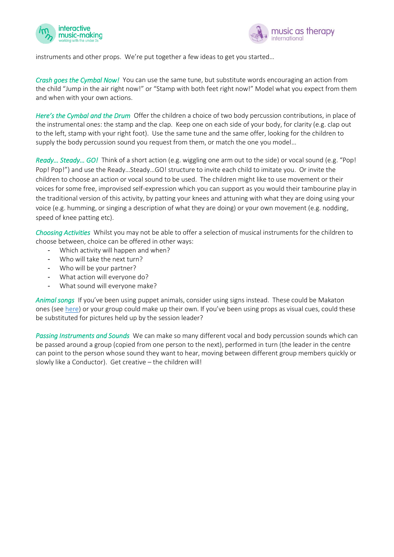



instruments and other props. We're put together a few ideas to get you started…

*Crash goes the Cymbal Now!* You can use the same tune, but substitute words encouraging an action from the child "Jump in the air right now!" or "Stamp with both feet right now!" Model what you expect from them and when with your own actions.

*Here's the Cymbal and the Drum* Offer the children a choice of two body percussion contributions, in place of the instrumental ones: the stamp and the clap. Keep one on each side of your body, for clarity (e.g. clap out to the left, stamp with your right foot). Use the same tune and the same offer, looking for the children to supply the body percussion sound you request from them, or match the one you model…

*Ready… Steady… GO!* Think of a short action (e.g. wiggling one arm out to the side) or vocal sound (e.g. "Pop! Pop! Pop!") and use the Ready…Steady…GO! structure to invite each child to imitate you. Or invite the children to choose an action or vocal sound to be used. The children might like to use movement or their voices for some free, improvised self-expression which you can support as you would their tambourine play in the traditional version of this activity, by patting your knees and attuning with what they are doing using your voice (e.g. humming, or singing a description of what they are doing) or your own movement (e.g. nodding, speed of knee patting etc).

*Choosing Activities* Whilst you may not be able to offer a selection of musical instruments for the children to choose between, choice can be offered in other ways:

- Which activity will happen and when?
- Who will take the next turn?
- Who will be your partner?
- What action will everyone do?
- What sound will everyone make?

*Animal songs* If you've been using puppet animals, consider using signs instead. These could be Makaton ones (se[e here\)](https://www.youtube.com/watch?v=sNm4z3mumHQ) or your group could make up their own. If you've been using props as visual cues, could these be substituted for pictures held up by the session leader?

*Passing Instruments and Sounds* We can make so many different vocal and body percussion sounds which can be passed around a group (copied from one person to the next), performed in turn (the leader in the centre can point to the person whose sound they want to hear, moving between different group members quickly or slowly like a Conductor). Get creative – the children will!